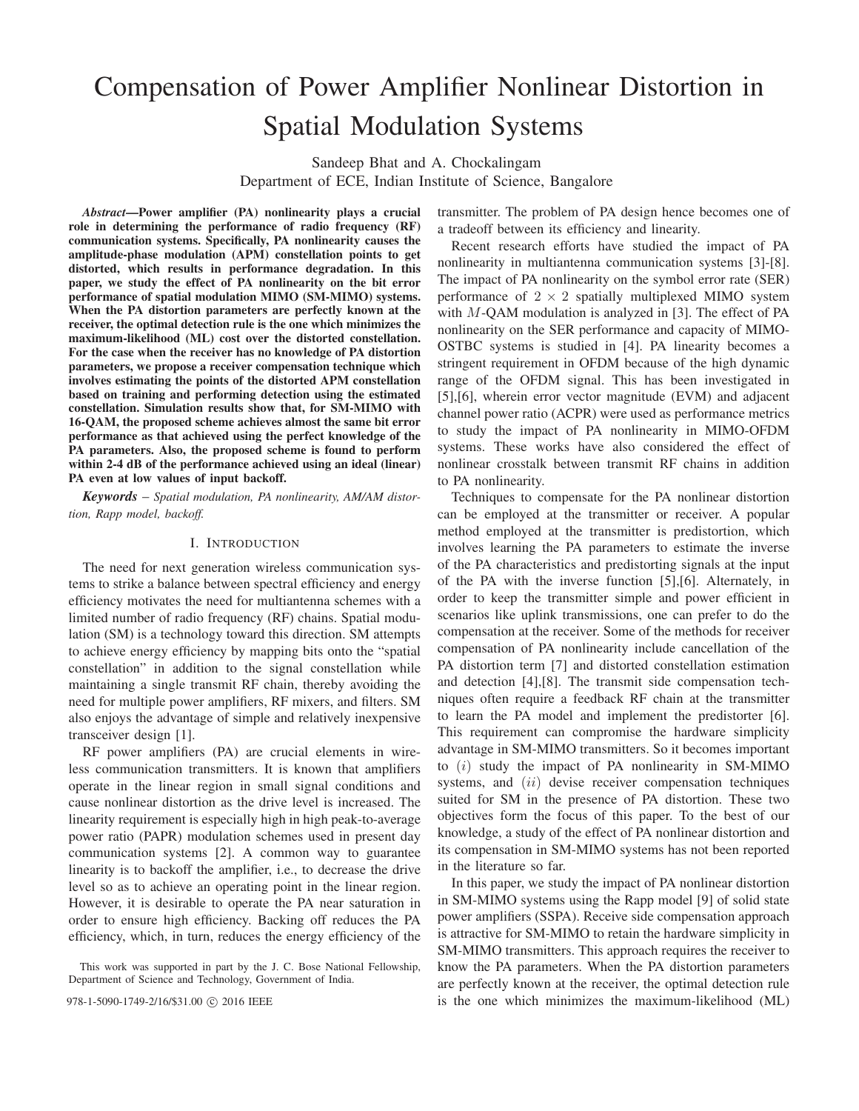# Compensation of Power Amplifier Nonlinear Distortion in Spatial Modulation Systems

Sandeep Bhat and A. Chockalingam

Department of ECE, Indian Institute of Science, Bangalore

*Abstract***—Power amplifier (PA) nonlinearity plays a crucial role in determining the performance of radio frequency (RF) communication systems. Specifically, PA nonlinearity causes the amplitude-phase modulation (APM) constellation points to get distorted, which results in performance degradation. In this paper, we study the effect of PA nonlinearity on the bit error performance of spatial modulation MIMO (SM-MIMO) systems. When the PA distortion parameters are perfectly known at the receiver, the optimal detection rule is the one which minimizes the maximum-likelihood (ML) cost over the distorted constellation. For the case when the receiver has no knowledge of PA distortion parameters, we propose a receiver compensation technique which involves estimating the points of the distorted APM constellation based on training and performing detection using the estimated constellation. Simulation results show that, for SM-MIMO with 16-QAM, the proposed scheme achieves almost the same bit error performance as that achieved using the perfect knowledge of the PA parameters. Also, the proposed scheme is found to perform within 2-4 dB of the performance achieved using an ideal (linear) PA even at low values of input backoff.**

*Keywords* – *Spatial modulation, PA nonlinearity, AM/AM distortion, Rapp model, backoff.*

### I. INTRODUCTION

The need for next generation wireless communication systems to strike a balance between spectral efficiency and energy efficiency motivates the need for multiantenna schemes with a limited number of radio frequency (RF) chains. Spatial modulation (SM) is a technology toward this direction. SM attempts to achieve energy efficiency by mapping bits onto the "spatial constellation" in addition to the signal constellation while maintaining a single transmit RF chain, thereby avoiding the need for multiple power amplifiers, RF mixers, and filters. SM also enjoys the advantage of simple and relatively inexpensive transceiver design [1].

RF power amplifiers (PA) are crucial elements in wireless communication transmitters. It is known that amplifiers operate in the linear region in small signal conditions and cause nonlinear distortion as the drive level is increased. The linearity requirement is especially high in high peak-to-average power ratio (PAPR) modulation schemes used in present day communication systems [2]. A common way to guarantee linearity is to backoff the amplifier, i.e., to decrease the drive level so as to achieve an operating point in the linear region. However, it is desirable to operate the PA near saturation in order to ensure high efficiency. Backing off reduces the PA efficiency, which, in turn, reduces the energy efficiency of the

transmitter. The problem of PA design hence becomes one of a tradeoff between its efficiency and linearity.

Recent research efforts have studied the impact of PA nonlinearity in multiantenna communication systems [3]-[8]. The impact of PA nonlinearity on the symbol error rate (SER) performance of  $2 \times 2$  spatially multiplexed MIMO system with  $M$ -QAM modulation is analyzed in [3]. The effect of PA nonlinearity on the SER performance and capacity of MIMO-OSTBC systems is studied in [4]. PA linearity becomes a stringent requirement in OFDM because of the high dynamic range of the OFDM signal. This has been investigated in [5],[6], wherein error vector magnitude (EVM) and adjacent channel power ratio (ACPR) were used as performance metrics to study the impact of PA nonlinearity in MIMO-OFDM systems. These works have also considered the effect of nonlinear crosstalk between transmit RF chains in addition to PA nonlinearity.

Techniques to compensate for the PA nonlinear distortion can be employed at the transmitter or receiver. A popular method employed at the transmitter is predistortion, which involves learning the PA parameters to estimate the inverse of the PA characteristics and predistorting signals at the input of the PA with the inverse function [5],[6]. Alternately, in order to keep the transmitter simple and power efficient in scenarios like uplink transmissions, one can prefer to do the compensation at the receiver. Some of the methods for receiver compensation of PA nonlinearity include cancellation of the PA distortion term [7] and distorted constellation estimation and detection [4],[8]. The transmit side compensation techniques often require a feedback RF chain at the transmitter to learn the PA model and implement the predistorter [6]. This requirement can compromise the hardware simplicity advantage in SM-MIMO transmitters. So it becomes important to  $(i)$  study the impact of PA nonlinearity in SM-MIMO systems, and  $(ii)$  devise receiver compensation techniques suited for SM in the presence of PA distortion. These two objectives form the focus of this paper. To the best of our knowledge, a study of the effect of PA nonlinear distortion and its compensation in SM-MIMO systems has not been reported in the literature so far.

In this paper, we study the impact of PA nonlinear distortion in SM-MIMO systems using the Rapp model [9] of solid state power amplifiers (SSPA). Receive side compensation approach is attractive for SM-MIMO to retain the hardware simplicity in SM-MIMO transmitters. This approach requires the receiver to know the PA parameters. When the PA distortion parameters are perfectly known at the receiver, the optimal detection rule 978-1-5090-1749-2/16/\$31.00 © 2016 IEEE is the one which minimizes the maximum-likelihood (ML)

This work was supported in part by the J. C. Bose National Fellowship, Department of Science and Technology, Government of India.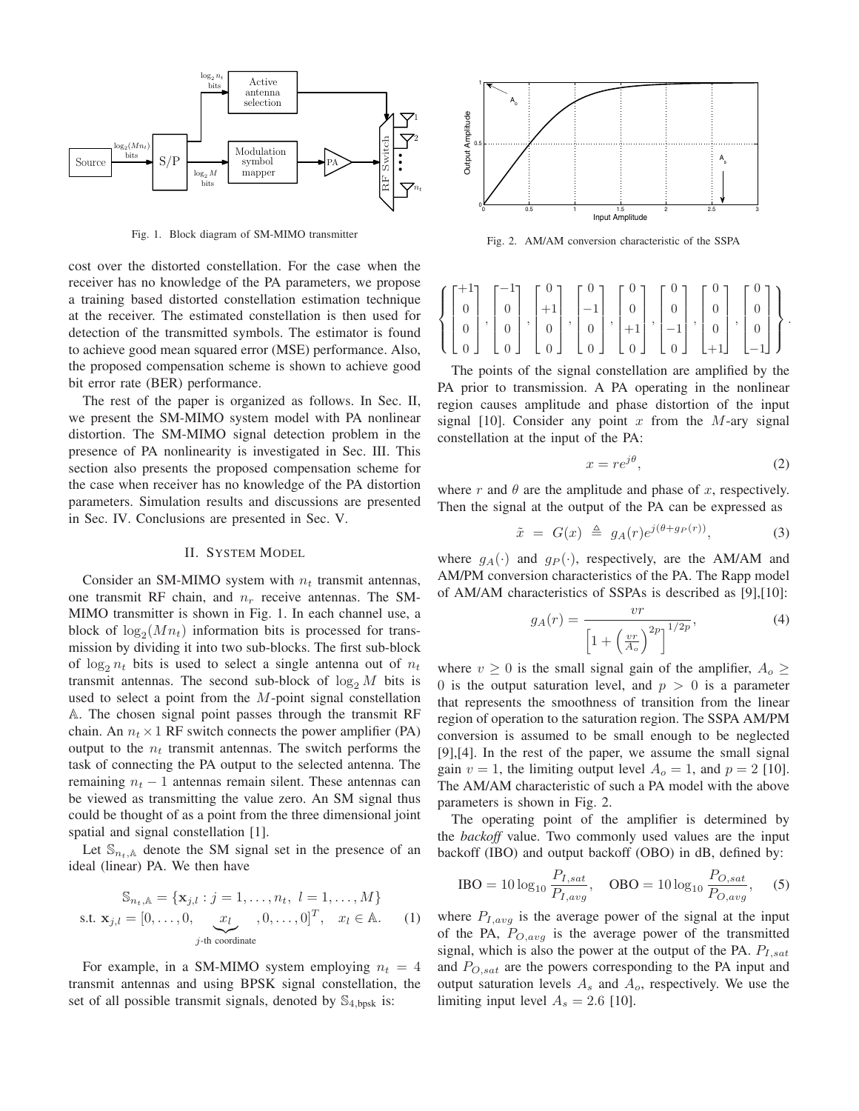

Fig. 1. Block diagram of SM-MIMO transmitter

cost over the distorted constellation. For the case when the receiver has no knowledge of the PA parameters, we propose a training based distorted constellation estimation technique at the receiver. The estimated constellation is then used for detection of the transmitted symbols. The estimator is found to achieve good mean squared error (MSE) performance. Also, the proposed compensation scheme is shown to achieve good bit error rate (BER) performance.

The rest of the paper is organized as follows. In Sec. II, we present the SM-MIMO system model with PA nonlinear distortion. The SM-MIMO signal detection problem in the presence of PA nonlinearity is investigated in Sec. III. This section also presents the proposed compensation scheme for the case when receiver has no knowledge of the PA distortion parameters. Simulation results and discussions are presented in Sec. IV. Conclusions are presented in Sec. V.

## II. SYSTEM MODEL

Consider an SM-MIMO system with  $n_t$  transmit antennas, one transmit RF chain, and  $n_r$  receive antennas. The SM-MIMO transmitter is shown in Fig. 1. In each channel use, a block of  $log_2(Mn_t)$  information bits is processed for transmission by dividing it into two sub-blocks. The first sub-block of  $\log_2 n_t$  bits is used to select a single antenna out of  $n_t$ transmit antennas. The second sub-block of  $log_2 M$  bits is used to select a point from the  $M$ -point signal constellation . The chosen signal point passes through the transmit RF chain. An  $n_t \times 1$  RF switch connects the power amplifier (PA) output to the  $n_t$  transmit antennas. The switch performs the task of connecting the PA output to the selected antenna. The remaining  $n_t - 1$  antennas remain silent. These antennas can be viewed as transmitting the value zero. An SM signal thus could be thought of as a point from the three dimensional joint spatial and signal constellation [1].

Let  $\mathbb{S}_{n_t,\mathbb{A}}$  denote the SM signal set in the presence of an ideal (linear) PA. We then have

$$
\mathbb{S}_{n_t, \mathbb{A}} = \{ \mathbf{x}_{j,l} : j = 1, ..., n_t, l = 1, ..., M \}
$$
  
s.t.  $\mathbf{x}_{j,l} = [0, ..., 0, \underbrace{x_l}_{j\text{-th coordinate}}, 0, ..., 0]^T, x_l \in \mathbb{A}.$  (1)

For example, in a SM-MIMO system employing  $n_t = 4$ transmit antennas and using BPSK signal constellation, the set of all possible transmit signals, denoted by  $\mathbb{S}_{4, \text{bpsk}}$  is:



Fig. 2. AM/AM conversion characteristic of the SSPA

$$
\left\{\begin{bmatrix} +1 \\ 0 \\ 0 \\ 0 \end{bmatrix}, \begin{bmatrix} -1 \\ 0 \\ 0 \\ 0 \end{bmatrix}, \begin{bmatrix} 0 \\ +1 \\ 0 \\ 0 \end{bmatrix}, \begin{bmatrix} 0 \\ -1 \\ 0 \\ 0 \end{bmatrix}, \begin{bmatrix} 0 \\ 0 \\ +1 \\ 0 \end{bmatrix}, \begin{bmatrix} 0 \\ 0 \\ -1 \\ 0 \end{bmatrix}, \begin{bmatrix} 0 \\ 0 \\ 0 \\ +1 \end{bmatrix}, \begin{bmatrix} 0 \\ 0 \\ 0 \\ -1 \end{bmatrix} \right\}.
$$

The points of the signal constellation are amplified by the PA prior to transmission. A PA operating in the nonlinear region causes amplitude and phase distortion of the input signal [10]. Consider any point  $x$  from the  $M$ -ary signal constellation at the input of the PA:

$$
x = re^{j\theta},\tag{2}
$$

where r and  $\theta$  are the amplitude and phase of x, respectively. Then the signal at the output of the PA can be expressed as

$$
\tilde{x} = G(x) \triangleq g_A(r)e^{j(\theta + g_P(r))}, \tag{3}
$$

where  $g_A(\cdot)$  and  $g_P(\cdot)$ , respectively, are the AM/AM and AM/PM conversion characteristics of the PA. The Rapp model of AM/AM characteristics of SSPAs is described as [9],[10]:

$$
g_A(r) = \frac{vr}{\left[1 + \left(\frac{vr}{A_o}\right)^{2p}\right]^{1/2p}},\tag{4}
$$

where  $v \ge 0$  is the small signal gain of the amplifier,  $A_o \ge$ 0 is the output saturation level, and  $p > 0$  is a parameter that represents the smoothness of transition from the linear region of operation to the saturation region. The SSPA AM/PM conversion is assumed to be small enough to be neglected [9],[4]. In the rest of the paper, we assume the small signal gain  $v = 1$ , the limiting output level  $A_o = 1$ , and  $p = 2$  [10]. The AM/AM characteristic of such a PA model with the above parameters is shown in Fig. 2.

The operating point of the amplifier is determined by the *backoff* value. Two commonly used values are the input backoff (IBO) and output backoff (OBO) in dB, defined by:

$$
IBO = 10 \log_{10} \frac{P_{I, sat}}{P_{I, avg}}, \quad OBO = 10 \log_{10} \frac{P_{O, sat}}{P_{O, avg}}, \quad (5)
$$

where  $P_{I,avg}$  is the average power of the signal at the input of the PA,  $P_{O, avg}$  is the average power of the transmitted signal, which is also the power at the output of the PA.  $P_{I, sat}$ and  $P_{O, sat}$  are the powers corresponding to the PA input and output saturation levels  $A_s$  and  $A_o$ , respectively. We use the limiting input level  $A_s = 2.6$  [10].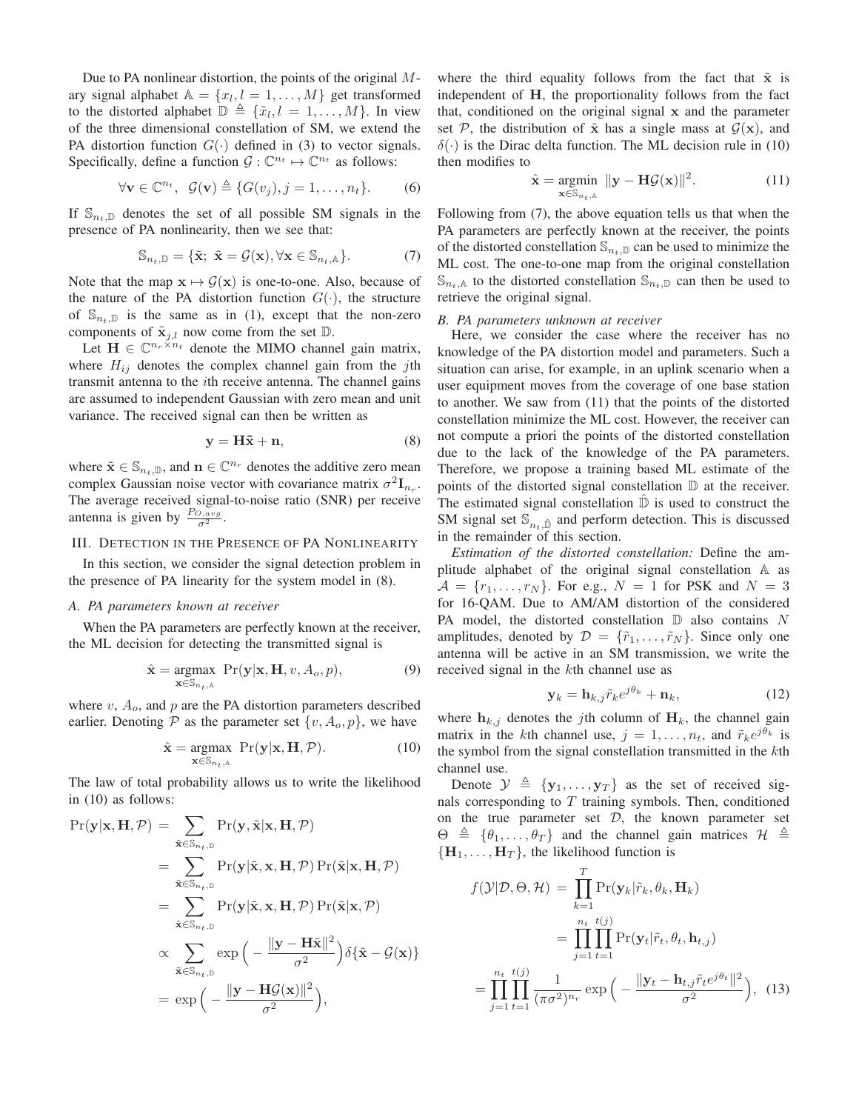Due to PA nonlinear distortion, the points of the original  $M$ ary signal alphabet  $A = \{x_l, l = 1, \ldots, M\}$  get transformed to the distorted alphabet  $\mathbb{D} \triangleq \{\tilde{x}_l, l = 1, \ldots, M\}$ . In view of the three dimensional constellation of SM, we extend the PA distortion function  $G(·)$  defined in (3) to vector signals. Specifically, define a function  $G: \mathbb{C}^{n_t} \mapsto \mathbb{C}^{n_t}$  as follows:

$$
\forall \mathbf{v} \in \mathbb{C}^{n_t}, \ \mathcal{G}(\mathbf{v}) \triangleq \{ G(v_j), j = 1, \dots, n_t \}.
$$
 (6)

If  $\mathbb{S}_{n_t, \mathbb{D}}$  denotes the set of all possible SM signals in the presence of PA nonlinearity, then we see that:

$$
\mathbb{S}_{n_t,\mathbb{D}} = \{ \tilde{\mathbf{x}}; \ \tilde{\mathbf{x}} = \mathcal{G}(\mathbf{x}), \forall \mathbf{x} \in \mathbb{S}_{n_t,\mathbb{A}} \}.
$$
 (7)

Note that the map  $x \mapsto \mathcal{G}(x)$  is one-to-one. Also, because of the nature of the PA distortion function  $G(·)$ , the structure of  $\mathbb{S}_{n_t, \mathbb{D}}$  is the same as in (1), except that the non-zero components of  $\tilde{\mathbf{x}}_{j,l}$  now come from the set  $\mathbb{D}$ .

Let  $\mathbf{H} \in \mathbb{C}^{n_r \times n_t}$  denote the MIMO channel gain matrix, where  $H_{ij}$  denotes the complex channel gain from the jth transmit antenna to the *i*th receive antenna. The channel gains are assumed to independent Gaussian with zero mean and unit variance. The received signal can then be written as

$$
y = H\tilde{x} + n,\tag{8}
$$

where  $\tilde{\mathbf{x}} \in \mathbb{S}_{n_t, \mathbb{D}}$ , and  $\mathbf{n} \in \mathbb{C}^{n_r}$  denotes the additive zero mean complex Gaussian noise vector with covariance matrix  $\sigma^2 \mathbf{I}_{n_x}$ . The average received signal-to-noise ratio (SNR) per receive antenna is given by  $\frac{P_{O,avg}}{\sigma^2}$ .

# III. DETECTION IN THE PRESENCE OF PA NONLINEARITY

In this section, we consider the signal detection problem in the presence of PA linearity for the system model in (8).

## *A. PA parameters known at receiver*

When the PA parameters are perfectly known at the receiver, the ML decision for detecting the transmitted signal is

$$
\hat{\mathbf{x}} = \underset{\mathbf{x} \in \mathbb{S}_{n_t, \mathbb{A}}}{\text{argmax}} \ \Pr(\mathbf{y} | \mathbf{x}, \mathbf{H}, v, A_o, p), \tag{9}
$$

where  $v, A<sub>o</sub>$ , and  $p$  are the PA distortion parameters described earlier. Denoting P as the parameter set  $\{v, A_o, p\}$ , we have

$$
\hat{\mathbf{x}} = \underset{\mathbf{x} \in \mathbb{S}_{n_t, \mathbb{A}}}{\text{argmax}} \ \Pr(\mathbf{y} | \mathbf{x}, \mathbf{H}, \mathcal{P}). \tag{10}
$$

The law of total probability allows us to write the likelihood in (10) as follows:

$$
\Pr(\mathbf{y}|\mathbf{x}, \mathbf{H}, \mathcal{P}) = \sum_{\tilde{\mathbf{x}} \in \mathbb{S}_{n_t, \mathbb{D}}} \Pr(\mathbf{y}, \tilde{\mathbf{x}}|\mathbf{x}, \mathbf{H}, \mathcal{P})
$$
  
\n
$$
= \sum_{\tilde{\mathbf{x}} \in \mathbb{S}_{n_t, \mathbb{D}}} \Pr(\mathbf{y}|\tilde{\mathbf{x}}, \mathbf{x}, \mathbf{H}, \mathcal{P}) \Pr(\tilde{\mathbf{x}}|\mathbf{x}, \mathbf{H}, \mathcal{P})
$$
  
\n
$$
= \sum_{\tilde{\mathbf{x}} \in \mathbb{S}_{n_t, \mathbb{D}}} \Pr(\mathbf{y}|\tilde{\mathbf{x}}, \mathbf{x}, \mathbf{H}, \mathcal{P}) \Pr(\tilde{\mathbf{x}}|\mathbf{x}, \mathcal{P})
$$
  
\n
$$
\propto \sum_{\tilde{\mathbf{x}} \in \mathbb{S}_{n_t, \mathbb{D}}} \exp\left(-\frac{\|\mathbf{y} - \mathbf{H}\tilde{\mathbf{x}}\|^2}{\sigma^2}\right) \delta\{\tilde{\mathbf{x}} - \mathcal{G}(\mathbf{x})\}
$$
  
\n
$$
= \exp\left(-\frac{\|\mathbf{y} - \mathbf{H}\mathcal{G}(\mathbf{x})\|^2}{\sigma^2}\right),
$$

where the third equality follows from the fact that  $\tilde{x}$  is independent of **H**, the proportionality follows from the fact that, conditioned on the original signal **x** and the parameter set  $P$ , the distribution of  $\tilde{x}$  has a single mass at  $\mathcal{G}(x)$ , and  $\delta(\cdot)$  is the Dirac delta function. The ML decision rule in (10) then modifies to

$$
\hat{\mathbf{x}} = \underset{\mathbf{x} \in \mathbb{S}_{n_t,\mathbb{A}}}{\text{argmin}} \ \|\mathbf{y} - \mathbf{H}\mathcal{G}(\mathbf{x})\|^2. \tag{11}
$$

Following from (7), the above equation tells us that when the PA parameters are perfectly known at the receiver, the points of the distorted constellation  $\mathbb{S}_{n_t, \mathbb{D}}$  can be used to minimize the ML cost. The one-to-one map from the original constellation  $\mathbb{S}_{n_t,\mathbb{A}}$  to the distorted constellation  $\mathbb{S}_{n_t,\mathbb{D}}$  can then be used to retrieve the original signal.

# *B. PA parameters unknown at receiver*

Here, we consider the case where the receiver has no knowledge of the PA distortion model and parameters. Such a situation can arise, for example, in an uplink scenario when a user equipment moves from the coverage of one base station to another. We saw from (11) that the points of the distorted constellation minimize the ML cost. However, the receiver can not compute a priori the points of the distorted constellation due to the lack of the knowledge of the PA parameters. Therefore, we propose a training based ML estimate of the points of the distorted signal constellation  $D$  at the receiver. The estimated signal constellation  $\mathbb D$  is used to construct the SM signal set  $\mathbb{S}_{n_{\tau},\hat{\mathbb{D}}}$  and perform detection. This is discussed in the remainder of this section.

*Estimation of the distorted constellation:* Define the amplitude alphabet of the original signal constellation A as  $\mathcal{A} = \{r_1, \ldots, r_N\}$ . For e.g.,  $N = 1$  for PSK and  $N = 3$ for 16-QAM. Due to AM/AM distortion of the considered PA model, the distorted constellation  $D$  also contains  $N$ amplitudes, denoted by  $\mathcal{D} = {\tilde{r}_1, \ldots, \tilde{r}_N}$ . Since only one antenna will be active in an SM transmission, we write the received signal in the  $k$ th channel use as

$$
\mathbf{y}_k = \mathbf{h}_{k,j} \tilde{r}_k e^{j\theta_k} + \mathbf{n}_k, \tag{12}
$$

where  $h_{k,j}$  denotes the j<sup>th</sup> column of  $H_k$ , the channel gain matrix in the kth channel use,  $j = 1, \ldots, n_t$ , and  $\tilde{r}_k e^{j\theta_k}$  is the symbol from the signal constellation transmitted in the  $k$ th channel use.

Denote  $\mathcal{Y} \triangleq \{y_1, \ldots, y_T\}$  as the set of received signals corresponding to  $T$  training symbols. Then, conditioned on the true parameter set  $D$ , the known parameter set  $\Theta \triangleq {\theta_1, \ldots, \theta_T}$  and the channel gain matrices  $\mathcal{H} \triangleq$  ${\bf H}_1,\ldots,{\bf H}_T$ , the likelihood function is

$$
f(\mathcal{Y}|\mathcal{D}, \Theta, \mathcal{H}) = \prod_{k=1}^{T} \Pr(\mathbf{y}_k | \tilde{r}_k, \theta_k, \mathbf{H}_k)
$$
  
= 
$$
\prod_{j=1}^{n_t} \prod_{t=1}^{t(j)} \Pr(\mathbf{y}_t | \tilde{r}_t, \theta_t, \mathbf{h}_{t,j})
$$
  
= 
$$
\prod_{j=1}^{n_t} \prod_{t=1}^{t(j)} \frac{1}{(\pi \sigma^2)^{n_r}} \exp\left(-\frac{\|\mathbf{y}_t - \mathbf{h}_{t,j} \tilde{r}_t e^{j\theta_t}\|^2}{\sigma^2}\right), \quad (13)
$$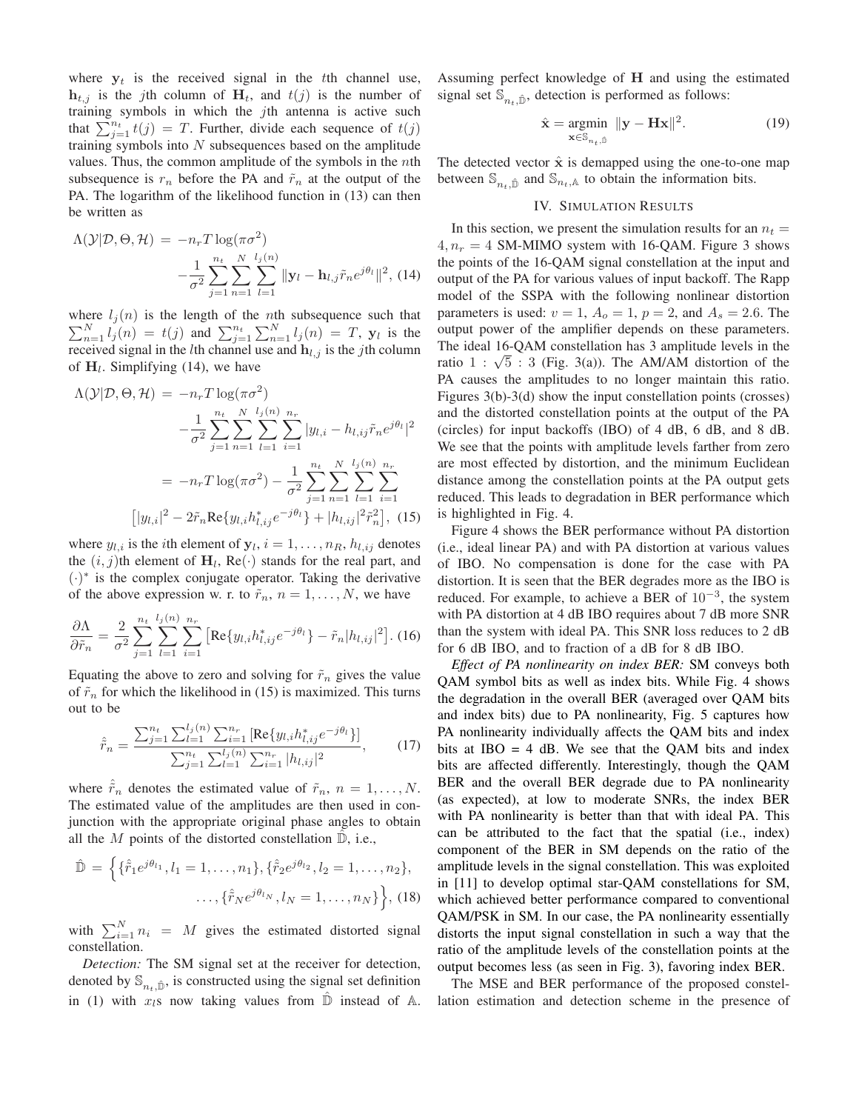where  $y_t$  is the received signal in the t<sup>th</sup> channel use,  $h_{t,j}$  is the j<sup>th</sup> column of  $H_t$ , and  $t(j)$  is the number of training symbols in which the  $j$ th antenna is active such that  $\sum_{j=1}^{n_t} t(j) = T$ . Further, divide each sequence of  $t(j)$ training symbols into  $N$  subsequences based on the amplitude values. Thus, the common amplitude of the symbols in the  $n$ th subsequence is  $r_n$  before the PA and  $\tilde{r}_n$  at the output of the PA. The logarithm of the likelihood function in (13) can then be written as

$$
\Lambda(\mathcal{Y}|\mathcal{D}, \Theta, \mathcal{H}) = -n_r T \log(\pi \sigma^2)
$$

$$
-\frac{1}{\sigma^2} \sum_{j=1}^{n_t} \sum_{n=1}^{N} \sum_{l=1}^{l_j(n)} ||\mathbf{y}_l - \mathbf{h}_{l,j} \tilde{r}_n e^{j\theta_l}||^2, (14)
$$

 $\sum_{n=1}^{N} l_j(n) = t(j)$  and  $\sum_{j=1}^{n_t} \sum_{n=1}^{N} l_j(n) = T$ ,  $\mathbf{y}_l$  is the where  $l_i(n)$  is the length of the *n*th subsequence such that received signal in the *l*th channel use and  $\mathbf{h}_{l,j}$  is the *j*th column of  $H_l$ . Simplifying (14), we have

$$
\Lambda(\mathcal{Y}|\mathcal{D}, \Theta, \mathcal{H}) = -n_r T \log(\pi \sigma^2)
$$
  

$$
-\frac{1}{\sigma^2} \sum_{j=1}^{n_t} \sum_{n=1}^{N} \sum_{l=1}^{l_j(n)} \sum_{i=1}^{n_r} |y_{l,i} - h_{l,ij} \tilde{r}_n e^{j\theta_l}|^2
$$
  

$$
= -n_r T \log(\pi \sigma^2) - \frac{1}{\sigma^2} \sum_{j=1}^{n_t} \sum_{n=1}^{N} \sum_{l=1}^{l_j(n)} \sum_{i=1}^{n_r}
$$
  

$$
[|y_{l,i}|^2 - 2\tilde{r}_n \text{Re}\{y_{l,i} h_{l,ij}^* e^{-j\theta_l}\} + |h_{l,ij}|^2 \tilde{r}_n^2],
$$
(15)

where  $y_{l,i}$  is the *i*th element of  $\mathbf{y}_l$ ,  $i = 1, \ldots, n_R$ ,  $h_{l,ij}$  denotes the  $(i, j)$ th element of  $H_l$ , Re(⋅) stands for the real part, and (⋅)<sup>∗</sup> is the complex conjugate operator. Taking the derivative of the above expression w. r. to  $\tilde{r}_n$ ,  $n = 1, \ldots, N$ , we have

$$
\frac{\partial \Lambda}{\partial \tilde{r}_n} = \frac{2}{\sigma^2} \sum_{j=1}^{n_t} \sum_{l=1}^{l_j(n)} \sum_{i=1}^{n_r} \left[ \text{Re} \{ y_{l,i} h_{l,ij}^* e^{-j\theta_l} \} - \tilde{r}_n | h_{l,ij} |^2 \right].
$$
 (16)

Equating the above to zero and solving for  $\tilde{r}_n$  gives the value of  $\tilde{r}_n$  for which the likelihood in (15) is maximized. This turns out to be

$$
\hat{\tilde{r}}_n = \frac{\sum_{j=1}^{n_t} \sum_{l=1}^{l_j(n)} \sum_{i=1}^{n_r} \left[ \text{Re}\{y_{l,i} h_{l,ij}^* e^{-j\theta_l}\} \right]}{\sum_{j=1}^{n_t} \sum_{l=1}^{l_j(n)} \sum_{i=1}^{n_r} |h_{l,ij}|^2},\tag{17}
$$

where  $\hat{r}_n$  denotes the estimated value of  $\tilde{r}_n$ ,  $n = 1, \ldots, N$ . The estimated value of the amplitudes are then used in conjunction with the appropriate original phase angles to obtain all the  $M$  points of the distorted constellation  $\mathbb{D}$ , i.e.,

$$
\hat{\mathbb{D}} = \left\{ \{\hat{r}_1 e^{j\theta_{l_1}}, l_1 = 1, \dots, n_1\}, \{\hat{r}_2 e^{j\theta_{l_2}}, l_2 = 1, \dots, n_2\}, \dots, \{\hat{r}_N e^{j\theta_{l_N}}, l_N = 1, \dots, n_N\} \right\}, (18)
$$

with  $\sum_{i=1}^{N} n_i = M$  gives the estimated distorted signal constellation.

*Detection:* The SM signal set at the receiver for detection, denoted by  $\mathbb{S}_{n+\hat{\mathbb{D}}}$ , is constructed using the signal set definition in (1) with  $x_l$ s now taking values from  $\hat{\mathbb{D}}$  instead of A. Assuming perfect knowledge of **H** and using the estimated signal set  $\mathbb{S}_{n+\hat{\mathbb{D}}}$ , detection is performed as follows:

$$
\hat{\mathbf{x}} = \underset{\mathbf{x} \in \mathbb{S}_{n_t,\hat{\mathbb{D}}}}{\text{argmin}} \|\mathbf{y} - \mathbf{H}\mathbf{x}\|^2. \tag{19}
$$

The detected vector  $\hat{x}$  is demapped using the one-to-one map between  $\mathbb{S}_{n_{t}}$   $\hat{n}$  and  $\mathbb{S}_{n_{t},A}$  to obtain the information bits.

## IV. SIMULATION RESULTS

In this section, we present the simulation results for an  $n_t =$  $4, n_r = 4$  SM-MIMO system with 16-QAM. Figure 3 shows the points of the 16-QAM signal constellation at the input and output of the PA for various values of input backoff. The Rapp model of the SSPA with the following nonlinear distortion parameters is used:  $v = 1$ ,  $A_o = 1$ ,  $p = 2$ , and  $A_s = 2.6$ . The output power of the amplifier depends on these parameters. The ideal 16-QAM constellation has 3 amplitude levels in the ratio 1 :  $\sqrt{5}$  : 3 (Fig. 3(a)). The AM/AM distortion of the PA causes the amplitudes to no longer maintain this ratio. Figures 3(b)-3(d) show the input constellation points (crosses) and the distorted constellation points at the output of the PA (circles) for input backoffs (IBO) of 4 dB, 6 dB, and 8 dB. We see that the points with amplitude levels farther from zero are most effected by distortion, and the minimum Euclidean distance among the constellation points at the PA output gets reduced. This leads to degradation in BER performance which is highlighted in Fig. 4.

Figure 4 shows the BER performance without PA distortion (i.e., ideal linear PA) and with PA distortion at various values of IBO. No compensation is done for the case with PA distortion. It is seen that the BER degrades more as the IBO is reduced. For example, to achieve a BER of  $10^{-3}$ , the system with PA distortion at 4 dB IBO requires about 7 dB more SNR than the system with ideal PA. This SNR loss reduces to 2 dB for 6 dB IBO, and to fraction of a dB for 8 dB IBO.

*Effect of PA nonlinearity on index BER:* SM conveys both QAM symbol bits as well as index bits. While Fig. 4 shows the degradation in the overall BER (averaged over QAM bits and index bits) due to PA nonlinearity, Fig. 5 captures how PA nonlinearity individually affects the QAM bits and index bits at IBO  $=$  4 dB. We see that the QAM bits and index bits are affected differently. Interestingly, though the QAM BER and the overall BER degrade due to PA nonlinearity (as expected), at low to moderate SNRs, the index BER with PA nonlinearity is better than that with ideal PA. This can be attributed to the fact that the spatial (i.e., index) component of the BER in SM depends on the ratio of the amplitude levels in the signal constellation. This was exploited in [11] to develop optimal star-QAM constellations for SM, which achieved better performance compared to conventional QAM/PSK in SM. In our case, the PA nonlinearity essentially distorts the input signal constellation in such a way that the ratio of the amplitude levels of the constellation points at the output becomes less (as seen in Fig. 3), favoring index BER.

The MSE and BER performance of the proposed constellation estimation and detection scheme in the presence of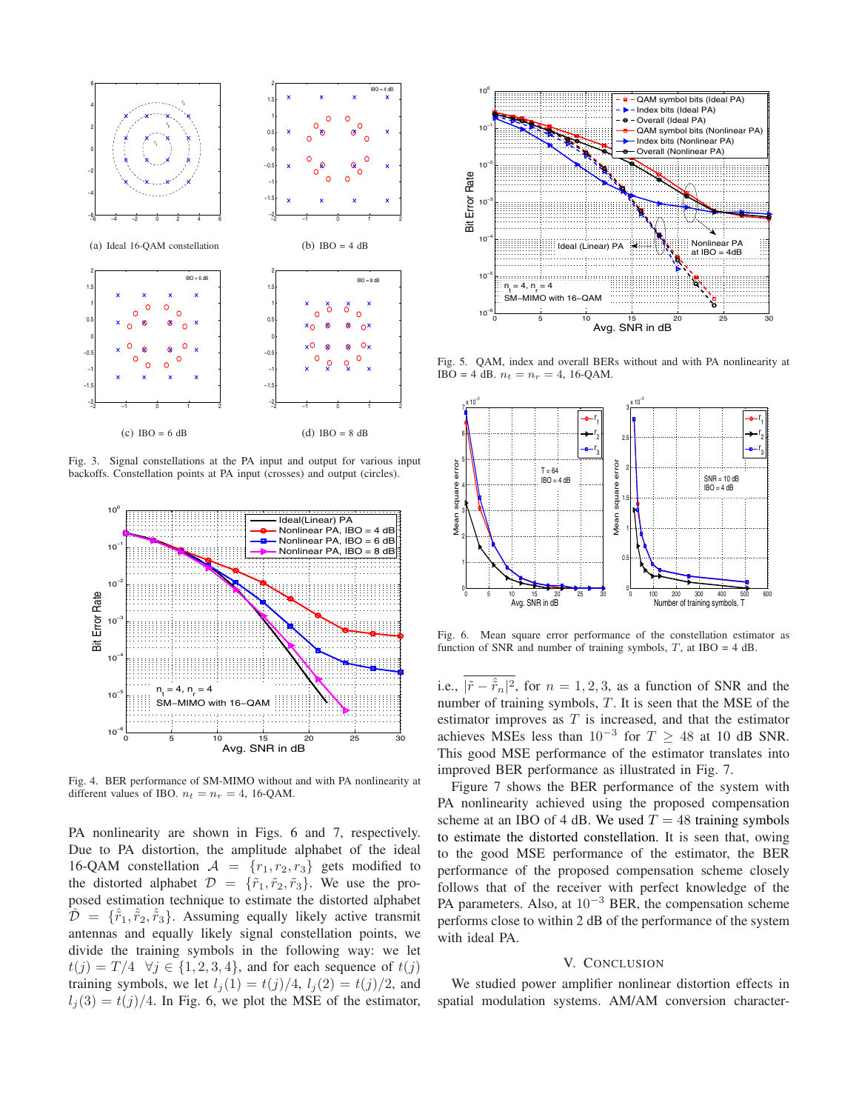

Fig. 3. Signal constellations at the PA input and output for various input backoffs. Constellation points at PA input (crosses) and output (circles).



Fig. 4. BER performance of SM-MIMO without and with PA nonlinearity at different values of IBO.  $n_t = n_r = 4$ , 16-QAM.

PA nonlinearity are shown in Figs. 6 and 7, respectively. Due to PA distortion, the amplitude alphabet of the ideal 16-QAM constellation  $A = \{r_1, r_2, r_3\}$  gets modified to the distorted alphabet  $\mathcal{D} = \{\tilde{r}_1, \tilde{r}_2, \tilde{r}_3\}$ . We use the proposed estimation technique to estimate the distorted alphabet  $\hat{\mathcal{D}} = {\{\hat{r}_1, \hat{r}_2, \hat{r}_3\}}$ . Assuming equally likely active transmit antennas and equally likely signal constellation points, we divide the training symbols in the following way: we let  $t(j) = T/4 \quad \forall j \in \{1, 2, 3, 4\}$ , and for each sequence of  $t(j)$ training symbols, we let  $l_i(1) = t(i)/4$ ,  $l_i(2) = t(i)/2$ , and  $l_i(3) = t(j)/4$ . In Fig. 6, we plot the MSE of the estimator,



Fig. 5. QAM, index and overall BERs without and with PA nonlinearity at  $IBO = 4$  dB.  $n_t = n_r = 4$ , 16-QAM.



Fig. 6. Mean square error performance of the constellation estimator as function of SNR and number of training symbols,  $T$ , at IBO = 4 dB.

i.e.,  $|\tilde{r} - \hat{r}_n|^2$ , for  $n = 1, 2, 3$ , as a function of SNR and the number of training symbols,  $T$ . It is seen that the MSE of the estimator improves as  $T$  is increased, and that the estimator achieves MSEs less than  $10^{-3}$  for  $T \geq 48$  at 10 dB SNR. This good MSE performance of the estimator translates into improved BER performance as illustrated in Fig. 7.

Figure 7 shows the BER performance of the system with PA nonlinearity achieved using the proposed compensation scheme at an IBO of 4 dB. We used  $T = 48$  training symbols to estimate the distorted constellation. It is seen that, owing to the good MSE performance of the estimator, the BER performance of the proposed compensation scheme closely follows that of the receiver with perfect knowledge of the PA parameters. Also, at  $10^{-3}$  BER, the compensation scheme performs close to within 2 dB of the performance of the system with ideal PA.

# V. CONCLUSION

We studied power amplifier nonlinear distortion effects in spatial modulation systems. AM/AM conversion character-